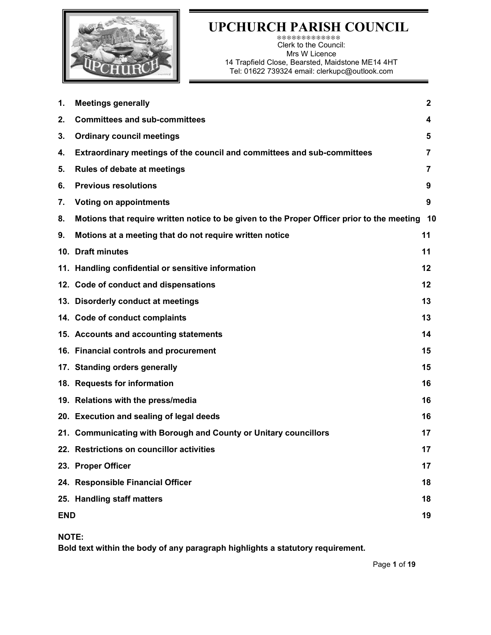

#### UPCHURCH PARISH COUNCIL

\*\*\*\*\*\*\*\*\*\*\*\*\* Clerk to the Council: Mrs W Licence 14 Trapfield Close, Bearsted, Maidstone ME14 4HT Tel: 01622 739324 email: clerkupc@outlook.com

| 1. | <b>Meetings generally</b>                                                                  | $\mathbf{2}$ |
|----|--------------------------------------------------------------------------------------------|--------------|
| 2. | <b>Committees and sub-committees</b>                                                       | 4            |
| 3. | <b>Ordinary council meetings</b>                                                           | 5            |
| 4. | Extraordinary meetings of the council and committees and sub-committees                    | 7            |
| 5. | <b>Rules of debate at meetings</b>                                                         | 7            |
| 6. | <b>Previous resolutions</b>                                                                | 9            |
| 7. | <b>Voting on appointments</b>                                                              | 9            |
| 8. | Motions that require written notice to be given to the Proper Officer prior to the meeting | 10           |
| 9. | Motions at a meeting that do not require written notice                                    | 11           |
|    | 10. Draft minutes                                                                          | 11           |
|    | 11. Handling confidential or sensitive information                                         | 12           |
|    | 12. Code of conduct and dispensations                                                      | 12           |
|    | 13. Disorderly conduct at meetings                                                         | 13           |
|    | 14. Code of conduct complaints                                                             | 13           |
|    | 15. Accounts and accounting statements                                                     | 14           |
|    | 16. Financial controls and procurement                                                     | 15           |
|    | 17. Standing orders generally                                                              | 15           |
|    | 18. Requests for information                                                               | 16           |
|    | 19. Relations with the press/media                                                         | 16           |
|    | 20. Execution and sealing of legal deeds                                                   | 16           |
|    | 21. Communicating with Borough and County or Unitary councillors                           | 17           |
|    | 22. Restrictions on councillor activities                                                  | 17           |
|    | 23. Proper Officer                                                                         | 17           |
|    | 24. Responsible Financial Officer                                                          | 18           |
|    | 25. Handling staff matters                                                                 | 18           |
|    | <b>END</b>                                                                                 |              |

NOTE:

Bold text within the body of any paragraph highlights a statutory requirement.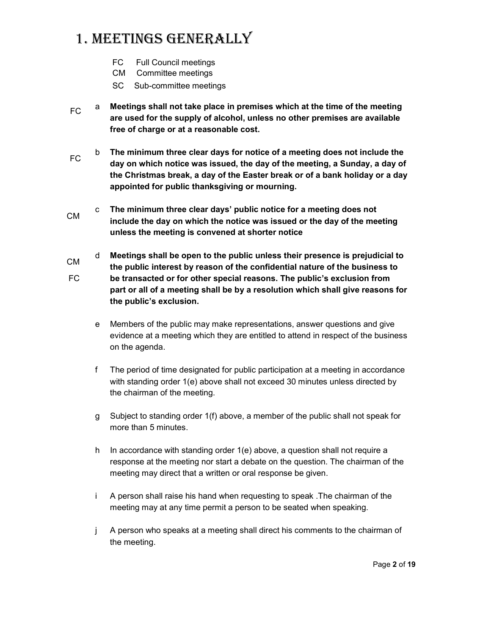## 1. Meetings generally

- FC Full Council meetings
- CM Committee meetings
- SC Sub-committee meetings
- $FC$  a Meetings shall not take place in premises which at the time of the meeting are used for the supply of alcohol, unless no other premises are available free of charge or at a reasonable cost.
- FC b The minimum three clear days for notice of a meeting does not include the day on which notice was issued, the day of the meeting, a Sunday, a day of the Christmas break, a day of the Easter break or of a bank holiday or a day appointed for public thanksgiving or mourning.
- CM c The minimum three clear days' public notice for a meeting does not include the day on which the notice was issued or the day of the meeting unless the meeting is convened at shorter notice
- CM FC d Meetings shall be open to the public unless their presence is prejudicial to the public interest by reason of the confidential nature of the business to be transacted or for other special reasons. The public's exclusion from part or all of a meeting shall be by a resolution which shall give reasons for the public's exclusion.
	- e Members of the public may make representations, answer questions and give evidence at a meeting which they are entitled to attend in respect of the business on the agenda.
	- f The period of time designated for public participation at a meeting in accordance with standing order 1(e) above shall not exceed 30 minutes unless directed by the chairman of the meeting.
	- g Subject to standing order 1(f) above, a member of the public shall not speak for more than 5 minutes.
	- h In accordance with standing order 1(e) above, a question shall not require a response at the meeting nor start a debate on the question. The chairman of the meeting may direct that a written or oral response be given.
	- i A person shall raise his hand when requesting to speak .The chairman of the meeting may at any time permit a person to be seated when speaking.
	- j A person who speaks at a meeting shall direct his comments to the chairman of the meeting.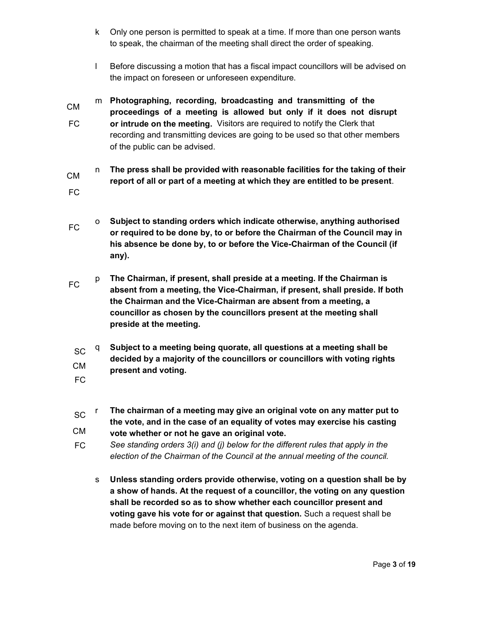- k Only one person is permitted to speak at a time. If more than one person wants to speak, the chairman of the meeting shall direct the order of speaking.
- l Before discussing a motion that has a fiscal impact councillors will be advised on the impact on foreseen or unforeseen expenditure.
- CM FC m Photographing, recording, broadcasting and transmitting of the proceedings of a meeting is allowed but only if it does not disrupt or intrude on the meeting. Visitors are required to notify the Clerk that recording and transmitting devices are going to be used so that other members of the public can be advised.
- CM FC n The press shall be provided with reasonable facilities for the taking of their report of all or part of a meeting at which they are entitled to be present.
- FC o Subject to standing orders which indicate otherwise, anything authorised or required to be done by, to or before the Chairman of the Council may in his absence be done by, to or before the Vice-Chairman of the Council (if any).
- FC p The Chairman, if present, shall preside at a meeting. If the Chairman is absent from a meeting, the Vice-Chairman, if present, shall preside. If both the Chairman and the Vice-Chairman are absent from a meeting, a councillor as chosen by the councillors present at the meeting shall preside at the meeting.
- $\mathrm{SC}$   $\mathrm{q}$ CM Subject to a meeting being quorate, all questions at a meeting shall be decided by a majority of the councillors or councillors with voting rights present and voting.
- FC
- **SC**  CM r The chairman of a meeting may give an original vote on any matter put to the vote, and in the case of an equality of votes may exercise his casting vote whether or not he gave an original vote.
- FC See standing orders 3(i) and (j) below for the different rules that apply in the election of the Chairman of the Council at the annual meeting of the council.
	- s Unless standing orders provide otherwise, voting on a question shall be by a show of hands. At the request of a councillor, the voting on any question shall be recorded so as to show whether each councillor present and voting gave his vote for or against that question. Such a request shall be made before moving on to the next item of business on the agenda.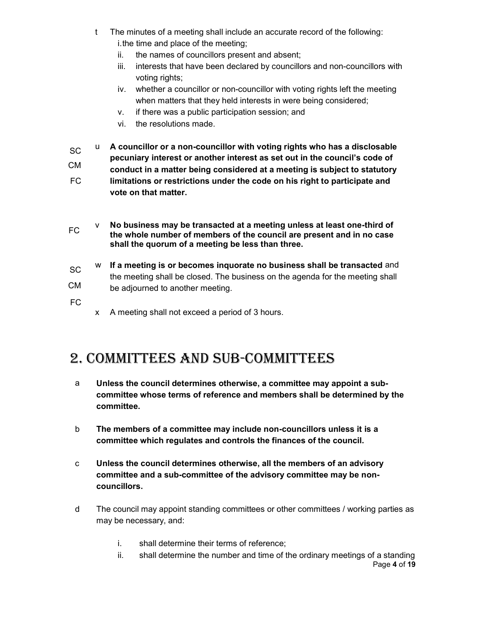- t The minutes of a meeting shall include an accurate record of the following: i. the time and place of the meeting;
	- ii. the names of councillors present and absent;
	- iii. interests that have been declared by councillors and non-councillors with voting rights;
	- iv. whether a councillor or non-councillor with voting rights left the meeting when matters that they held interests in were being considered;
	- v. if there was a public participation session; and
	- vi. the resolutions made.
- SC CM FC u A councillor or a non-councillor with voting rights who has a disclosable pecuniary interest or another interest as set out in the council's code of conduct in a matter being considered at a meeting is subject to statutory limitations or restrictions under the code on his right to participate and vote on that matter.
- v No business may be transacted at a meeting unless at least one-third of the whole number of members of the council are present and in no case shall the quorum of a meeting be less than three.
- SC CM w If a meeting is or becomes inquorate no business shall be transacted and the meeting shall be closed. The business on the agenda for the meeting shall be adjourned to another meeting.
- FC
- x A meeting shall not exceed a period of 3 hours.

#### 2. CoMMittees and sub-CoMMittees

- a Unless the council determines otherwise, a committee may appoint a subcommittee whose terms of reference and members shall be determined by the committee.
- b The members of a committee may include non-councillors unless it is a committee which regulates and controls the finances of the council.
- c Unless the council determines otherwise, all the members of an advisory committee and a sub-committee of the advisory committee may be noncouncillors.
- d The council may appoint standing committees or other committees / working parties as may be necessary, and:
	- i. shall determine their terms of reference;
	- Page 4 of 19 ii. shall determine the number and time of the ordinary meetings of a standing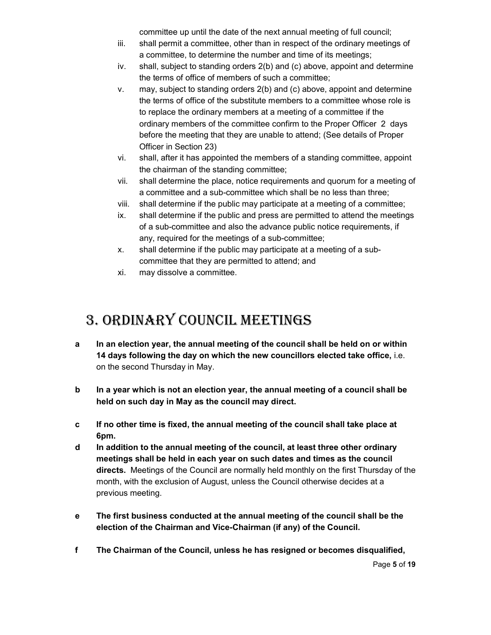committee up until the date of the next annual meeting of full council;

- iii. shall permit a committee, other than in respect of the ordinary meetings of a committee, to determine the number and time of its meetings;
- iv. shall, subject to standing orders 2(b) and (c) above, appoint and determine the terms of office of members of such a committee;
- v. may, subject to standing orders 2(b) and (c) above, appoint and determine the terms of office of the substitute members to a committee whose role is to replace the ordinary members at a meeting of a committee if the ordinary members of the committee confirm to the Proper Officer 2 days before the meeting that they are unable to attend; (See details of Proper Officer in Section 23)
- vi. shall, after it has appointed the members of a standing committee, appoint the chairman of the standing committee;
- vii. shall determine the place, notice requirements and quorum for a meeting of a committee and a sub-committee which shall be no less than three;
- viii. shall determine if the public may participate at a meeting of a committee;
- ix. shall determine if the public and press are permitted to attend the meetings of a sub-committee and also the advance public notice requirements, if any, required for the meetings of a sub-committee;
- x. shall determine if the public may participate at a meeting of a subcommittee that they are permitted to attend; and
- xi. may dissolve a committee.

## 3. ordinary CounCil Meetings

- a In an election year, the annual meeting of the council shall be held on or within 14 days following the day on which the new councillors elected take office, i.e. on the second Thursday in May.
- b In a year which is not an election year, the annual meeting of a council shall be held on such day in May as the council may direct.
- c If no other time is fixed, the annual meeting of the council shall take place at 6pm.
- d In addition to the annual meeting of the council, at least three other ordinary meetings shall be held in each year on such dates and times as the council directs. Meetings of the Council are normally held monthly on the first Thursday of the month, with the exclusion of August, unless the Council otherwise decides at a previous meeting.
- e The first business conducted at the annual meeting of the council shall be the election of the Chairman and Vice-Chairman (if any) of the Council.
- f The Chairman of the Council, unless he has resigned or becomes disqualified,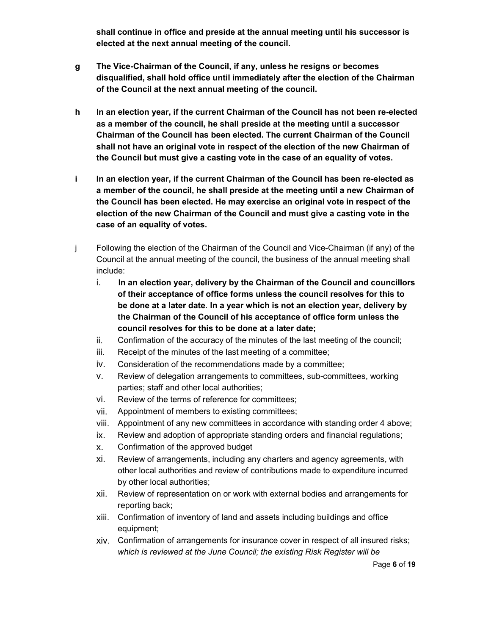shall continue in office and preside at the annual meeting until his successor is elected at the next annual meeting of the council.

- g The Vice-Chairman of the Council, if any, unless he resigns or becomes disqualified, shall hold office until immediately after the election of the Chairman of the Council at the next annual meeting of the council.
- h In an election year, if the current Chairman of the Council has not been re-elected as a member of the council, he shall preside at the meeting until a successor Chairman of the Council has been elected. The current Chairman of the Council shall not have an original vote in respect of the election of the new Chairman of the Council but must give a casting vote in the case of an equality of votes.
- i In an election year, if the current Chairman of the Council has been re-elected as a member of the council, he shall preside at the meeting until a new Chairman of the Council has been elected. He may exercise an original vote in respect of the election of the new Chairman of the Council and must give a casting vote in the case of an equality of votes.
- j Following the election of the Chairman of the Council and Vice-Chairman (if any) of the Council at the annual meeting of the council, the business of the annual meeting shall include:
	- i. In an election year, delivery by the Chairman of the Council and councillors of their acceptance of office forms unless the council resolves for this to be done at a later date. In a year which is not an election year, delivery by the Chairman of the Council of his acceptance of office form unless the council resolves for this to be done at a later date;
	- ii. Confirmation of the accuracy of the minutes of the last meeting of the council;
	- iii. Receipt of the minutes of the last meeting of a committee;
	- iv. Consideration of the recommendations made by a committee;
	- v. Review of delegation arrangements to committees, sub-committees, working parties; staff and other local authorities;
	- vi. Review of the terms of reference for committees;
	- vii. Appointment of members to existing committees;
	- viii. Appointment of any new committees in accordance with standing order 4 above;
	- ix. Review and adoption of appropriate standing orders and financial regulations;
	- x. Confirmation of the approved budget
	- xi. Review of arrangements, including any charters and agency agreements, with other local authorities and review of contributions made to expenditure incurred by other local authorities;
	- xii. Review of representation on or work with external bodies and arrangements for reporting back;
	- xiii. Confirmation of inventory of land and assets including buildings and office equipment;
	- xiv. Confirmation of arrangements for insurance cover in respect of all insured risks; which is reviewed at the June Council; the existing Risk Register will be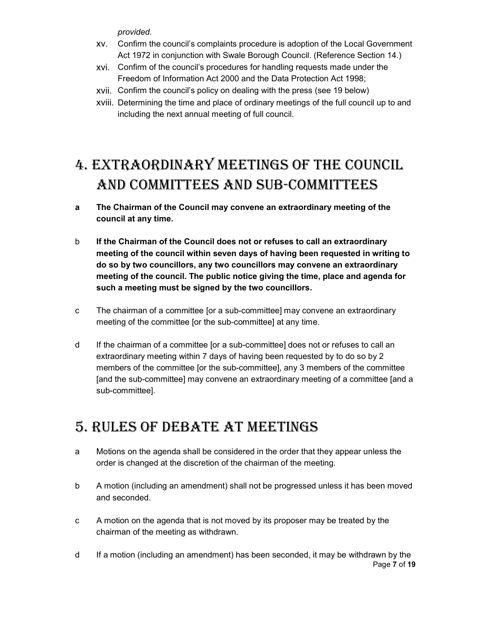provided.

- xv. Confirm the council's complaints procedure is adoption of the Local Government Act 1972 in conjunction with Swale Borough Council. (Reference Section 14.)
- xvi. Confirm of the council's procedures for handling requests made under the Freedom of Information Act 2000 and the Data Protection Act 1998;
- xvii. Confirm the council's policy on dealing with the press (see 19 below)
- xviii. Determining the time and place of ordinary meetings of the full council up to and including the next annual meeting of full council.

# 4. extraordinary Meetings of the CounCil and CoMMittees and sub-CoMMittees

- a The Chairman of the Council may convene an extraordinary meeting of the council at any time.
- b If the Chairman of the Council does not or refuses to call an extraordinary meeting of the council within seven days of having been requested in writing to do so by two councillors, any two councillors may convene an extraordinary meeting of the council. The public notice giving the time, place and agenda for such a meeting must be signed by the two councillors.
- c The chairman of a committee [or a sub-committee] may convene an extraordinary meeting of the committee [or the sub-committee] at any time.
- d If the chairman of a committee [or a sub-committee] does not or refuses to call an extraordinary meeting within 7 days of having been requested by to do so by 2 members of the committee [or the sub-committee], any 3 members of the committee [and the sub-committee] may convene an extraordinary meeting of a committee [and a sub-committee].

## 5. rules of debate at Meetings

- a Motions on the agenda shall be considered in the order that they appear unless the order is changed at the discretion of the chairman of the meeting.
- b A motion (including an amendment) shall not be progressed unless it has been moved and seconded.
- c A motion on the agenda that is not moved by its proposer may be treated by the chairman of the meeting as withdrawn.
- Page 7 of 19 d If a motion (including an amendment) has been seconded, it may be withdrawn by the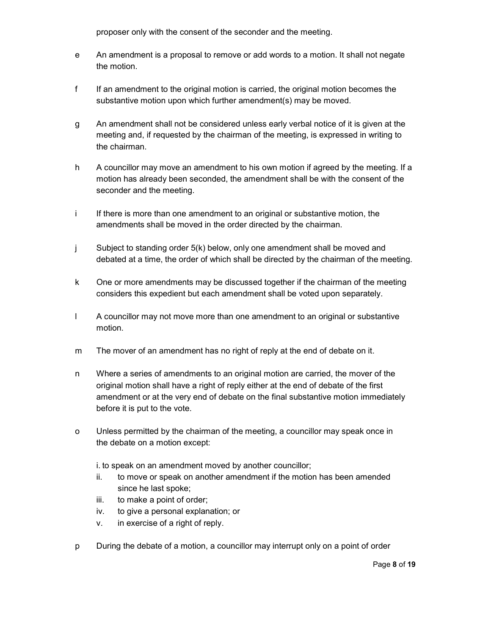proposer only with the consent of the seconder and the meeting.

- e An amendment is a proposal to remove or add words to a motion. It shall not negate the motion.
- f If an amendment to the original motion is carried, the original motion becomes the substantive motion upon which further amendment(s) may be moved.
- g An amendment shall not be considered unless early verbal notice of it is given at the meeting and, if requested by the chairman of the meeting, is expressed in writing to the chairman.
- h A councillor may move an amendment to his own motion if agreed by the meeting. If a motion has already been seconded, the amendment shall be with the consent of the seconder and the meeting.
- i If there is more than one amendment to an original or substantive motion, the amendments shall be moved in the order directed by the chairman.
- j Subject to standing order 5(k) below, only one amendment shall be moved and debated at a time, the order of which shall be directed by the chairman of the meeting.
- k One or more amendments may be discussed together if the chairman of the meeting considers this expedient but each amendment shall be voted upon separately.
- l A councillor may not move more than one amendment to an original or substantive motion.
- m The mover of an amendment has no right of reply at the end of debate on it.
- n Where a series of amendments to an original motion are carried, the mover of the original motion shall have a right of reply either at the end of debate of the first amendment or at the very end of debate on the final substantive motion immediately before it is put to the vote.
- o Unless permitted by the chairman of the meeting, a councillor may speak once in the debate on a motion except:
	- i. to speak on an amendment moved by another councillor;
	- ii. to move or speak on another amendment if the motion has been amended since he last spoke;
	- iii. to make a point of order;
	- iv. to give a personal explanation; or
	- v. in exercise of a right of reply.
- p During the debate of a motion, a councillor may interrupt only on a point of order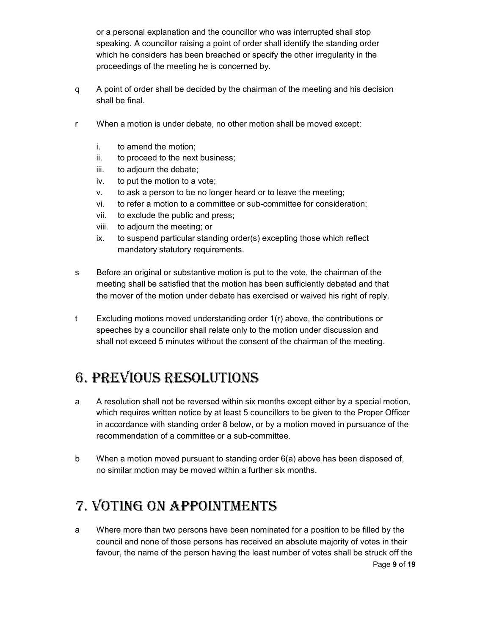or a personal explanation and the councillor who was interrupted shall stop speaking. A councillor raising a point of order shall identify the standing order which he considers has been breached or specify the other irregularity in the proceedings of the meeting he is concerned by.

- q A point of order shall be decided by the chairman of the meeting and his decision shall be final.
- r When a motion is under debate, no other motion shall be moved except:
	- i. to amend the motion;
	- ii. to proceed to the next business;
	- iii. to adjourn the debate;
	- iv. to put the motion to a vote;
	- v. to ask a person to be no longer heard or to leave the meeting;
	- vi. to refer a motion to a committee or sub-committee for consideration;
	- vii. to exclude the public and press;
	- viii. to adjourn the meeting; or
	- ix. to suspend particular standing order(s) excepting those which reflect mandatory statutory requirements.
- s Before an original or substantive motion is put to the vote, the chairman of the meeting shall be satisfied that the motion has been sufficiently debated and that the mover of the motion under debate has exercised or waived his right of reply.
- t Excluding motions moved understanding order 1(r) above, the contributions or speeches by a councillor shall relate only to the motion under discussion and shall not exceed 5 minutes without the consent of the chairman of the meeting.

## 6. Previous resolutions

- a A resolution shall not be reversed within six months except either by a special motion, which requires written notice by at least 5 councillors to be given to the Proper Officer in accordance with standing order 8 below, or by a motion moved in pursuance of the recommendation of a committee or a sub-committee.
- b When a motion moved pursuant to standing order 6(a) above has been disposed of, no similar motion may be moved within a further six months.

# 7. voting on aPPointMents

Page 9 of 19 a Where more than two persons have been nominated for a position to be filled by the council and none of those persons has received an absolute majority of votes in their favour, the name of the person having the least number of votes shall be struck off the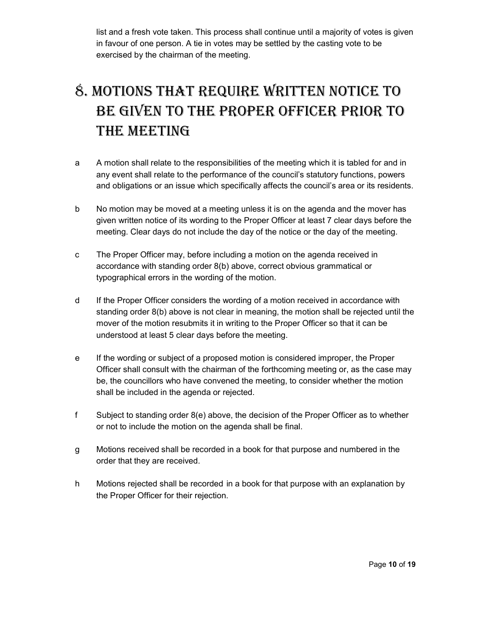list and a fresh vote taken. This process shall continue until a majority of votes is given in favour of one person. A tie in votes may be settled by the casting vote to be exercised by the chairman of the meeting.

# 8. Motions that require written notiCe to be given to the ProPer offiCer Prior to the Meeting

- a A motion shall relate to the responsibilities of the meeting which it is tabled for and in any event shall relate to the performance of the council's statutory functions, powers and obligations or an issue which specifically affects the council's area or its residents.
- b No motion may be moved at a meeting unless it is on the agenda and the mover has given written notice of its wording to the Proper Officer at least 7 clear days before the meeting. Clear days do not include the day of the notice or the day of the meeting.
- c The Proper Officer may, before including a motion on the agenda received in accordance with standing order 8(b) above, correct obvious grammatical or typographical errors in the wording of the motion.
- d If the Proper Officer considers the wording of a motion received in accordance with standing order 8(b) above is not clear in meaning, the motion shall be rejected until the mover of the motion resubmits it in writing to the Proper Officer so that it can be understood at least 5 clear days before the meeting.
- e If the wording or subject of a proposed motion is considered improper, the Proper Officer shall consult with the chairman of the forthcoming meeting or, as the case may be, the councillors who have convened the meeting, to consider whether the motion shall be included in the agenda or rejected.
- f Subject to standing order 8(e) above, the decision of the Proper Officer as to whether or not to include the motion on the agenda shall be final.
- g Motions received shall be recorded in a book for that purpose and numbered in the order that they are received.
- h Motions rejected shall be recorded in a book for that purpose with an explanation by the Proper Officer for their rejection.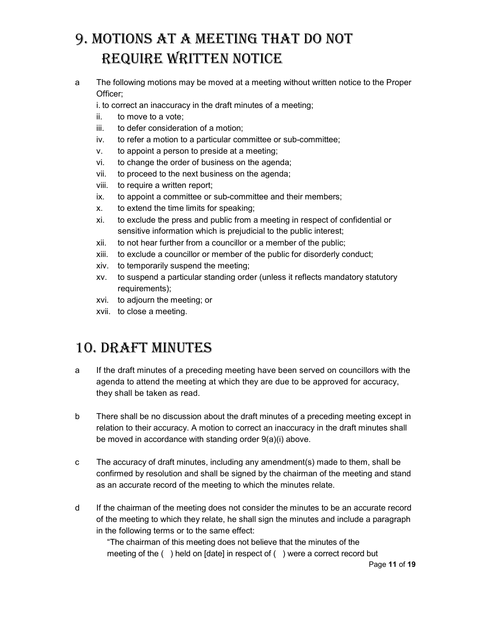# 9. Motions at a Meeting that do not require written notiCe

a The following motions may be moved at a meeting without written notice to the Proper Officer;

i. to correct an inaccuracy in the draft minutes of a meeting;

- ii. to move to a vote;
- iii. to defer consideration of a motion;
- iv. to refer a motion to a particular committee or sub-committee;
- v. to appoint a person to preside at a meeting;
- vi. to change the order of business on the agenda;
- vii. to proceed to the next business on the agenda;
- viii. to require a written report;
- ix. to appoint a committee or sub-committee and their members;
- x. to extend the time limits for speaking;
- xi. to exclude the press and public from a meeting in respect of confidential or sensitive information which is prejudicial to the public interest;
- xii. to not hear further from a councillor or a member of the public;
- xiii. to exclude a councillor or member of the public for disorderly conduct;
- xiv. to temporarily suspend the meeting;
- xv. to suspend a particular standing order (unless it reflects mandatory statutory requirements);
- xvi. to adjourn the meeting; or
- xvii. to close a meeting.

## 10. draft Minutes

- a If the draft minutes of a preceding meeting have been served on councillors with the agenda to attend the meeting at which they are due to be approved for accuracy, they shall be taken as read.
- b There shall be no discussion about the draft minutes of a preceding meeting except in relation to their accuracy. A motion to correct an inaccuracy in the draft minutes shall be moved in accordance with standing order 9(a)(i) above.
- c The accuracy of draft minutes, including any amendment(s) made to them, shall be confirmed by resolution and shall be signed by the chairman of the meeting and stand as an accurate record of the meeting to which the minutes relate.
- d If the chairman of the meeting does not consider the minutes to be an accurate record of the meeting to which they relate, he shall sign the minutes and include a paragraph in the following terms or to the same effect:

"The chairman of this meeting does not believe that the minutes of the meeting of the ( ) held on [date] in respect of ( ) were a correct record but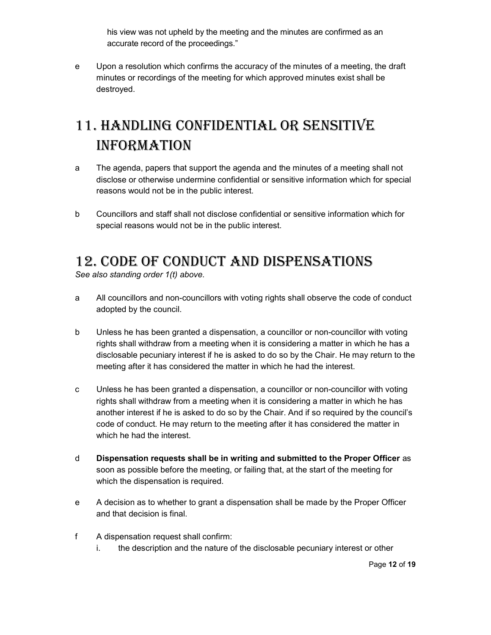his view was not upheld by the meeting and the minutes are confirmed as an accurate record of the proceedings."

e Upon a resolution which confirms the accuracy of the minutes of a meeting, the draft minutes or recordings of the meeting for which approved minutes exist shall be destroyed.

# 11. handling Confidential or sensitive **INFORMATION**

- a The agenda, papers that support the agenda and the minutes of a meeting shall not disclose or otherwise undermine confidential or sensitive information which for special reasons would not be in the public interest.
- b Councillors and staff shall not disclose confidential or sensitive information which for special reasons would not be in the public interest.

## 12. Code of ConduCt and disPensations

See also standing order 1(t) above.

- a All councillors and non-councillors with voting rights shall observe the code of conduct adopted by the council.
- b Unless he has been granted a dispensation, a councillor or non-councillor with voting rights shall withdraw from a meeting when it is considering a matter in which he has a disclosable pecuniary interest if he is asked to do so by the Chair. He may return to the meeting after it has considered the matter in which he had the interest.
- c Unless he has been granted a dispensation, a councillor or non-councillor with voting rights shall withdraw from a meeting when it is considering a matter in which he has another interest if he is asked to do so by the Chair. And if so required by the council's code of conduct. He may return to the meeting after it has considered the matter in which he had the interest.
- d Dispensation requests shall be in writing and submitted to the Proper Officer as soon as possible before the meeting, or failing that, at the start of the meeting for which the dispensation is required.
- e A decision as to whether to grant a dispensation shall be made by the Proper Officer and that decision is final.
- f A dispensation request shall confirm:
	- i. the description and the nature of the disclosable pecuniary interest or other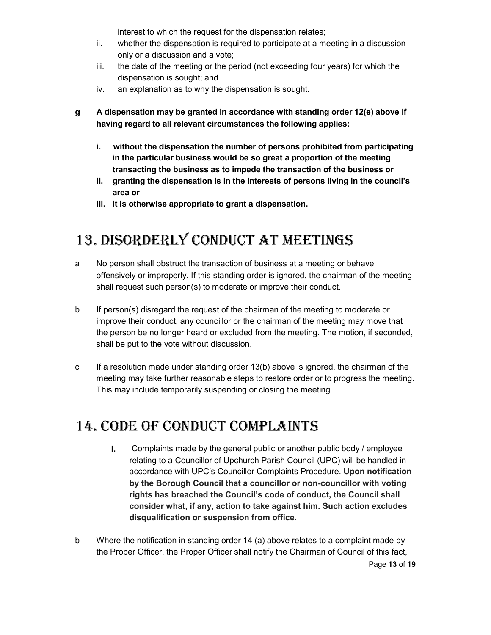interest to which the request for the dispensation relates;

- ii. whether the dispensation is required to participate at a meeting in a discussion only or a discussion and a vote;
- iii. the date of the meeting or the period (not exceeding four years) for which the dispensation is sought; and
- iv. an explanation as to why the dispensation is sought.
- g A dispensation may be granted in accordance with standing order 12(e) above if having regard to all relevant circumstances the following applies:
	- i. without the dispensation the number of persons prohibited from participating in the particular business would be so great a proportion of the meeting transacting the business as to impede the transaction of the business or
	- ii. granting the dispensation is in the interests of persons living in the council's area or
	- iii. it is otherwise appropriate to grant a dispensation.

## 13. disorderly ConduCt at Meetings

- a No person shall obstruct the transaction of business at a meeting or behave offensively or improperly. If this standing order is ignored, the chairman of the meeting shall request such person(s) to moderate or improve their conduct.
- b If person(s) disregard the request of the chairman of the meeting to moderate or improve their conduct, any councillor or the chairman of the meeting may move that the person be no longer heard or excluded from the meeting. The motion, if seconded, shall be put to the vote without discussion.
- c If a resolution made under standing order 13(b) above is ignored, the chairman of the meeting may take further reasonable steps to restore order or to progress the meeting. This may include temporarily suspending or closing the meeting.

## 14. Code of ConduCt CoMPlaints

- i. Complaints made by the general public or another public body / employee relating to a Councillor of Upchurch Parish Council (UPC) will be handled in accordance with UPC's Councillor Complaints Procedure. Upon notification by the Borough Council that a councillor or non-councillor with voting rights has breached the Council's code of conduct, the Council shall consider what, if any, action to take against him. Such action excludes disqualification or suspension from office.
- b Where the notification in standing order 14 (a) above relates to a complaint made by the Proper Officer, the Proper Officer shall notify the Chairman of Council of this fact,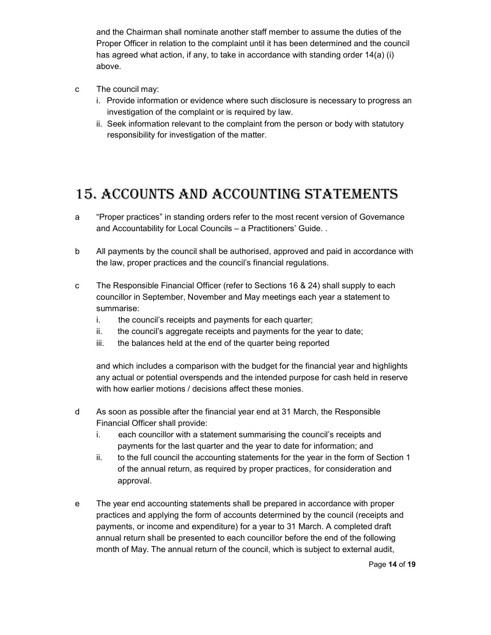and the Chairman shall nominate another staff member to assume the duties of the Proper Officer in relation to the complaint until it has been determined and the council has agreed what action, if any, to take in accordance with standing order 14(a) (i) above.

- c The council may:
	- i. Provide information or evidence where such disclosure is necessary to progress an investigation of the complaint or is required by law.
	- ii. Seek information relevant to the complaint from the person or body with statutory responsibility for investigation of the matter.

## 15. aCCounts and aCCounting stateMents

- a "Proper practices" in standing orders refer to the most recent version of Governance and Accountability for Local Councils – a Practitioners' Guide. .
- b All payments by the council shall be authorised, approved and paid in accordance with the law, proper practices and the council's financial regulations.
- c The Responsible Financial Officer (refer to Sections 16 & 24) shall supply to each councillor in September, November and May meetings each year a statement to summarise:
	- i. the council's receipts and payments for each quarter;
	- ii. the council's aggregate receipts and payments for the year to date;
	- iii. the balances held at the end of the quarter being reported

and which includes a comparison with the budget for the financial year and highlights any actual or potential overspends and the intended purpose for cash held in reserve with how earlier motions / decisions affect these monies.

- d As soon as possible after the financial year end at 31 March, the Responsible Financial Officer shall provide:
	- i. each councillor with a statement summarising the council's receipts and payments for the last quarter and the year to date for information; and
	- ii. to the full council the accounting statements for the year in the form of Section 1 of the annual return, as required by proper practices, for consideration and approval.
- e The year end accounting statements shall be prepared in accordance with proper practices and applying the form of accounts determined by the council (receipts and payments, or income and expenditure) for a year to 31 March. A completed draft annual return shall be presented to each councillor before the end of the following month of May. The annual return of the council, which is subject to external audit,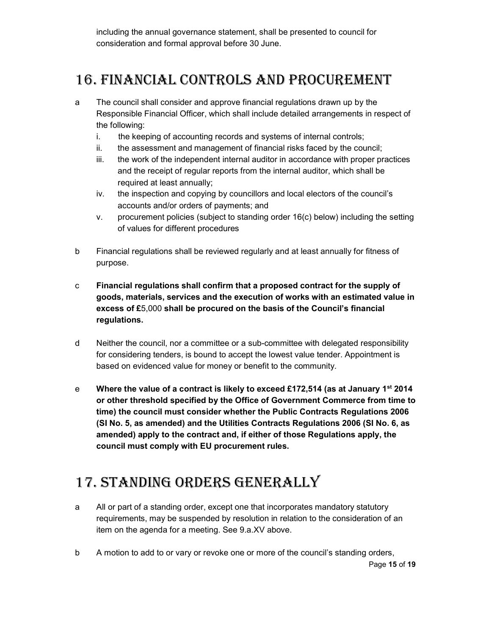including the annual governance statement, shall be presented to council for consideration and formal approval before 30 June.

## 16. finanCial Controls and ProCureMent

- a The council shall consider and approve financial regulations drawn up by the Responsible Financial Officer, which shall include detailed arrangements in respect of the following:
	- i. the keeping of accounting records and systems of internal controls;
	- ii. the assessment and management of financial risks faced by the council;
	- iii. the work of the independent internal auditor in accordance with proper practices and the receipt of regular reports from the internal auditor, which shall be required at least annually;
	- iv. the inspection and copying by councillors and local electors of the council's accounts and/or orders of payments; and
	- v. procurement policies (subject to standing order 16(c) below) including the setting of values for different procedures
- b Financial regulations shall be reviewed regularly and at least annually for fitness of purpose.
- c Financial regulations shall confirm that a proposed contract for the supply of goods, materials, services and the execution of works with an estimated value in excess of £5,000 shall be procured on the basis of the Council's financial regulations.
- d Neither the council, nor a committee or a sub-committee with delegated responsibility for considering tenders, is bound to accept the lowest value tender. Appointment is based on evidenced value for money or benefit to the community.
- e Where the value of a contract is likely to exceed £172,514 (as at January 1st 2014 or other threshold specified by the Office of Government Commerce from time to time) the council must consider whether the Public Contracts Regulations 2006 (SI No. 5, as amended) and the Utilities Contracts Regulations 2006 (SI No. 6, as amended) apply to the contract and, if either of those Regulations apply, the council must comply with EU procurement rules.

## 17. standing orders generally

- a All or part of a standing order, except one that incorporates mandatory statutory requirements, may be suspended by resolution in relation to the consideration of an item on the agenda for a meeting. See 9.a.XV above.
- b A motion to add to or vary or revoke one or more of the council's standing orders,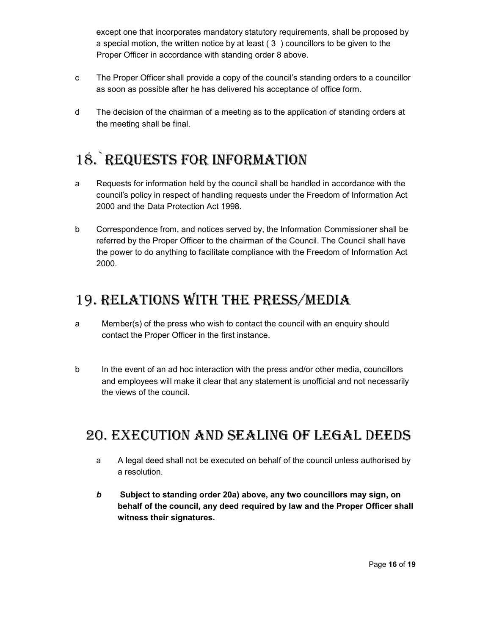except one that incorporates mandatory statutory requirements, shall be proposed by a special motion, the written notice by at least ( 3 ) councillors to be given to the Proper Officer in accordance with standing order 8 above.

- c The Proper Officer shall provide a copy of the council's standing orders to a councillor as soon as possible after he has delivered his acceptance of office form.
- d The decision of the chairman of a meeting as to the application of standing orders at the meeting shall be final.

# 18. REQUESTS FOR INFORMATION

- a Requests for information held by the council shall be handled in accordance with the council's policy in respect of handling requests under the Freedom of Information Act 2000 and the Data Protection Act 1998.
- b Correspondence from, and notices served by, the Information Commissioner shall be referred by the Proper Officer to the chairman of the Council. The Council shall have the power to do anything to facilitate compliance with the Freedom of Information Act 2000.

## 19. relations with the Press/Media

- a Member(s) of the press who wish to contact the council with an enquiry should contact the Proper Officer in the first instance.
- b In the event of an ad hoc interaction with the press and/or other media, councillors and employees will make it clear that any statement is unofficial and not necessarily the views of the council.

#### 20. exeCution and sealing of legal deeds

- a A legal deed shall not be executed on behalf of the council unless authorised by a resolution.
- b Subject to standing order 20a) above, any two councillors may sign, on behalf of the council, any deed required by law and the Proper Officer shall witness their signatures.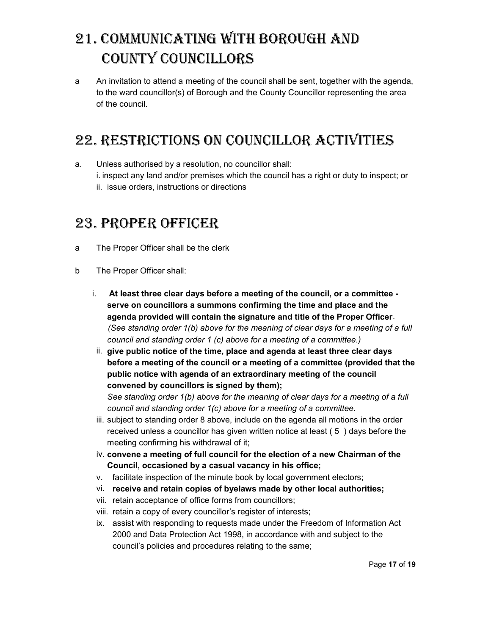# 21. CoMMuniCating with borough and County CounCillors

a An invitation to attend a meeting of the council shall be sent, together with the agenda, to the ward councillor(s) of Borough and the County Councillor representing the area of the council.

## 22. restriCtions on CounCillor aCtivities

a. Unless authorised by a resolution, no councillor shall: i. inspect any land and/or premises which the council has a right or duty to inspect; or ii. issue orders, instructions or directions

#### 23. PROPER OFFICER

- a The Proper Officer shall be the clerk
- b The Proper Officer shall:
	- i. At least three clear days before a meeting of the council, or a committee serve on councillors a summons confirming the time and place and the agenda provided will contain the signature and title of the Proper Officer. (See standing order 1(b) above for the meaning of clear days for a meeting of a full council and standing order 1 (c) above for a meeting of a committee.)
	- ii. give public notice of the time, place and agenda at least three clear days before a meeting of the council or a meeting of a committee (provided that the public notice with agenda of an extraordinary meeting of the council convened by councillors is signed by them);

See standing order 1(b) above for the meaning of clear days for a meeting of a full council and standing order 1(c) above for a meeting of a committee.

- iii. subject to standing order 8 above, include on the agenda all motions in the order received unless a councillor has given written notice at least ( 5 ) days before the meeting confirming his withdrawal of it;
- iv. convene a meeting of full council for the election of a new Chairman of the Council, occasioned by a casual vacancy in his office;
- v. facilitate inspection of the minute book by local government electors;
- vi. receive and retain copies of byelaws made by other local authorities;
- vii. retain acceptance of office forms from councillors;
- viii. retain a copy of every councillor's register of interests;
- ix. assist with responding to requests made under the Freedom of Information Act 2000 and Data Protection Act 1998, in accordance with and subject to the council's policies and procedures relating to the same;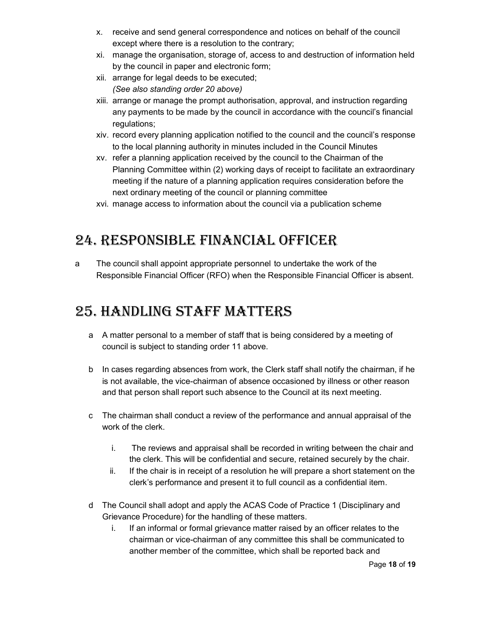- x. receive and send general correspondence and notices on behalf of the council except where there is a resolution to the contrary;
- xi. manage the organisation, storage of, access to and destruction of information held by the council in paper and electronic form;
- xii. arrange for legal deeds to be executed; (See also standing order 20 above)
- xiii. arrange or manage the prompt authorisation, approval, and instruction regarding any payments to be made by the council in accordance with the council's financial regulations;
- xiv. record every planning application notified to the council and the council's response to the local planning authority in minutes included in the Council Minutes
- xv. refer a planning application received by the council to the Chairman of the Planning Committee within (2) working days of receipt to facilitate an extraordinary meeting if the nature of a planning application requires consideration before the next ordinary meeting of the council or planning committee
- xvi. manage access to information about the council via a publication scheme

#### 24. resPonsible finanCial offiCer

a The council shall appoint appropriate personnel to undertake the work of the Responsible Financial Officer (RFO) when the Responsible Financial Officer is absent.

#### 25. handling staff Matters

- a A matter personal to a member of staff that is being considered by a meeting of council is subject to standing order 11 above.
- b In cases regarding absences from work, the Clerk staff shall notify the chairman, if he is not available, the vice-chairman of absence occasioned by illness or other reason and that person shall report such absence to the Council at its next meeting.
- c The chairman shall conduct a review of the performance and annual appraisal of the work of the clerk.
	- i. The reviews and appraisal shall be recorded in writing between the chair and the clerk. This will be confidential and secure, retained securely by the chair.
	- ii. If the chair is in receipt of a resolution he will prepare a short statement on the clerk's performance and present it to full council as a confidential item.
- d The Council shall adopt and apply the ACAS Code of Practice 1 (Disciplinary and Grievance Procedure) for the handling of these matters.
	- i. If an informal or formal grievance matter raised by an officer relates to the chairman or vice-chairman of any committee this shall be communicated to another member of the committee, which shall be reported back and